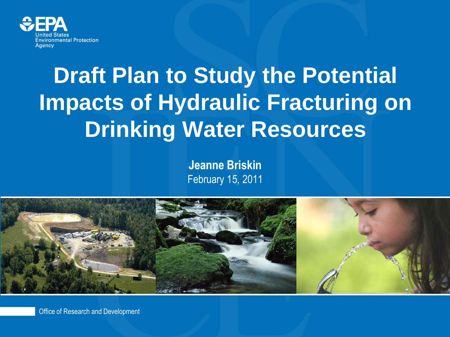

### **Draft Plan to Study the Potential Impacts of Hydraulic Fracturing on Drinking Water Resources**

**Jeanne Briskin** February 15, 2011



Office of Research and Development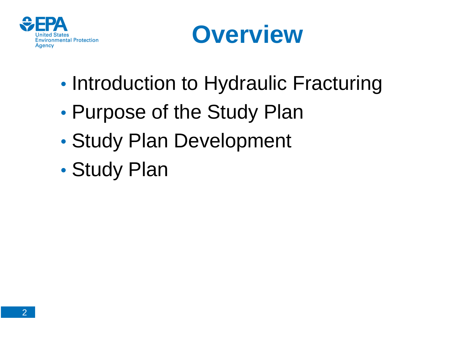



- Introduction to Hydraulic Fracturing
- Purpose of the Study Plan
- Study Plan Development
- Study Plan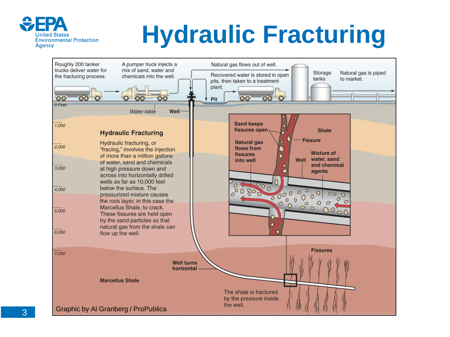

### **Hydraulic Fracturing**

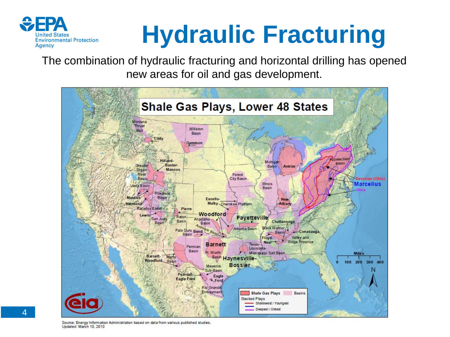

# **Hydraulic Fracturing**

The combination of hydraulic fracturing and horizontal drilling has opened new areas for oil and gas development.



Source: Energy Information Administration based on data from various published studies Updated: March 10, 2010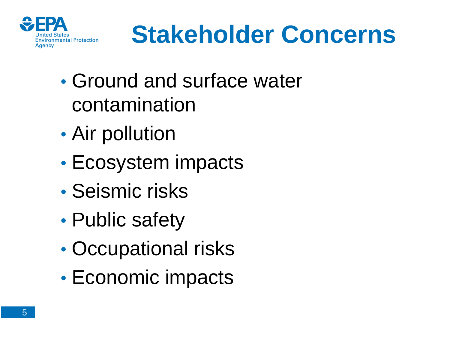

### **Stakeholder Concerns**

- Ground and surface water contamination
- Air pollution
- Ecosystem impacts
- Seismic risks
- Public safety
- Occupational risks
- Economic impacts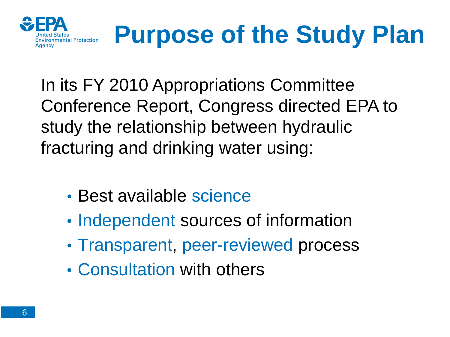

### **Purpose of the Study Plan**

In its FY 2010 Appropriations Committee Conference Report, Congress directed EPA to study the relationship between hydraulic fracturing and drinking water using:

- Best available science
- Independent sources of information
- Transparent, peer-reviewed process
- Consultation with others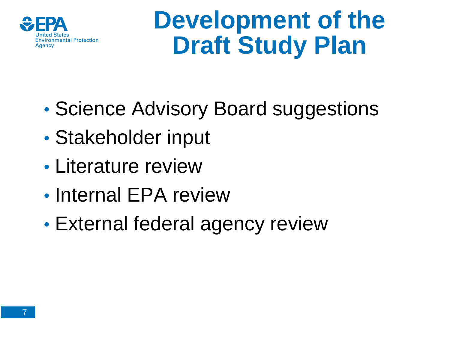

### **Development of the Draft Study Plan**

- Science Advisory Board suggestions
- Stakeholder input
- Literature review
- Internal EPA review
- External federal agency review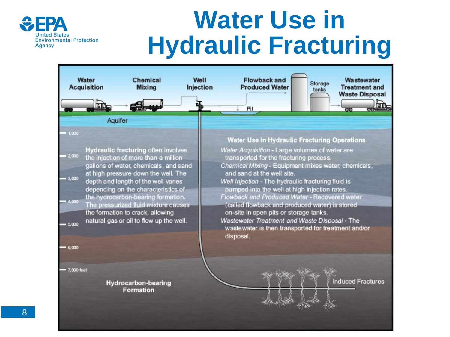

### **Water Use in Hydraulic Fracturing**

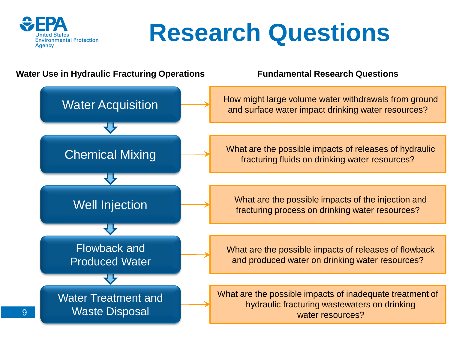

### **Research Questions**

#### **Water Use in Hydraulic Fracturing Operations Fundamental Research Questions**

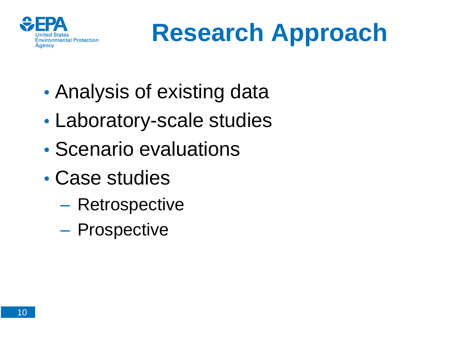

### **Research Approach**

- Analysis of existing data
- Laboratory-scale studies
- Scenario evaluations
- Case studies
	- Retrospective
	- Prospective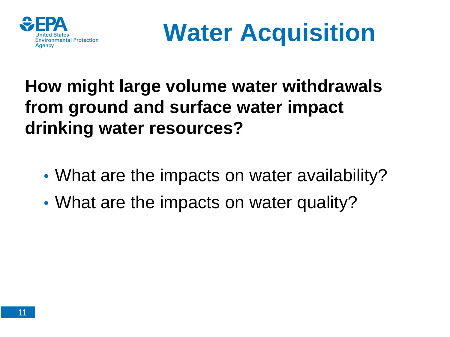

**Water Acquisition**

#### **How might large volume water withdrawals from ground and surface water impact drinking water resources?**

- What are the impacts on water availability?
- What are the impacts on water quality?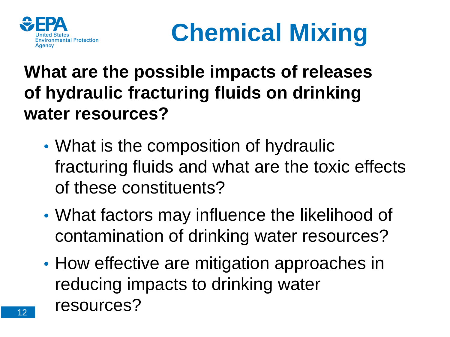



#### **What are the possible impacts of releases of hydraulic fracturing fluids on drinking water resources?**

- What is the composition of hydraulic fracturing fluids and what are the toxic effects of these constituents?
- What factors may influence the likelihood of contamination of drinking water resources?
- How effective are mitigation approaches in reducing impacts to drinking water resources?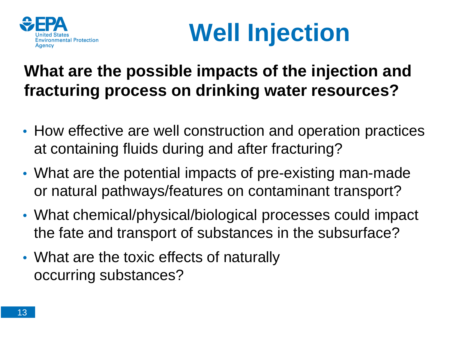

## **Well Injection**

#### **What are the possible impacts of the injection and fracturing process on drinking water resources?**

- How effective are well construction and operation practices at containing fluids during and after fracturing?
- What are the potential impacts of pre-existing man-made or natural pathways/features on contaminant transport?
- What chemical/physical/biological processes could impact the fate and transport of substances in the subsurface?
- What are the toxic effects of naturally occurring substances?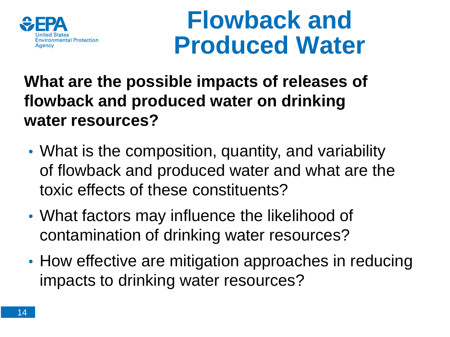

### **Flowback and Produced Water**

#### **What are the possible impacts of releases of flowback and produced water on drinking water resources?**

- What is the composition, quantity, and variability of flowback and produced water and what are the toxic effects of these constituents?
- What factors may influence the likelihood of contamination of drinking water resources?
- How effective are mitigation approaches in reducing impacts to drinking water resources?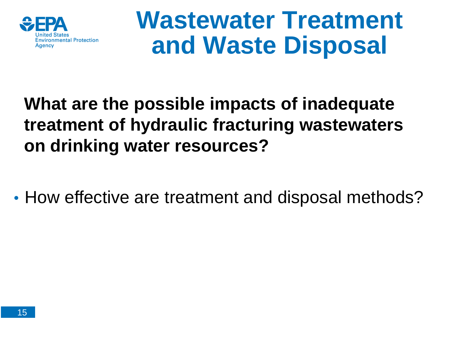

### **Wastewater Treatment and Waste Disposal**

#### **What are the possible impacts of inadequate treatment of hydraulic fracturing wastewaters on drinking water resources?**

• How effective are treatment and disposal methods?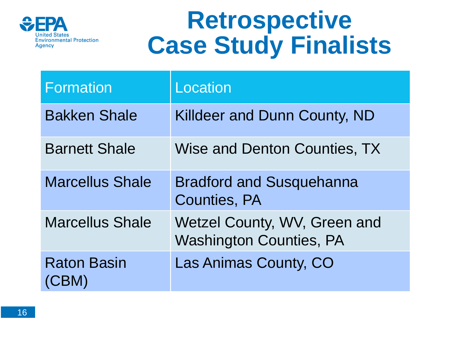

### **Retrospective Case Study Finalists**

| <b>Formation</b>            | Location                                                       |
|-----------------------------|----------------------------------------------------------------|
| <b>Bakken Shale</b>         | Killdeer and Dunn County, ND                                   |
| <b>Barnett Shale</b>        | Wise and Denton Counties, TX                                   |
| <b>Marcellus Shale</b>      | <b>Bradford and Susquehanna</b><br><b>Counties, PA</b>         |
| <b>Marcellus Shale</b>      | Wetzel County, WV, Green and<br><b>Washington Counties, PA</b> |
| <b>Raton Basin</b><br>(CBM) | Las Animas County, CO                                          |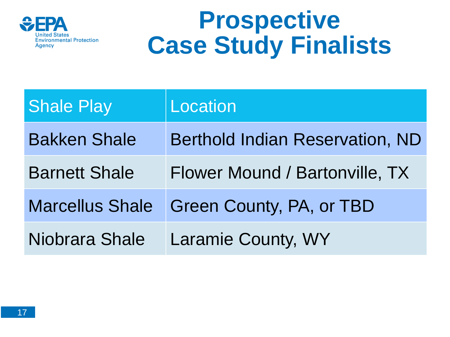

### **Prospective Case Study Finalists**

| <b>Shale Play</b>      | Location                               |
|------------------------|----------------------------------------|
| <b>Bakken Shale</b>    | <b>Berthold Indian Reservation, ND</b> |
| <b>Barnett Shale</b>   | Flower Mound / Bartonville, TX         |
| <b>Marcellus Shale</b> | Green County, PA, or TBD               |
| Niobrara Shale         | Laramie County, WY                     |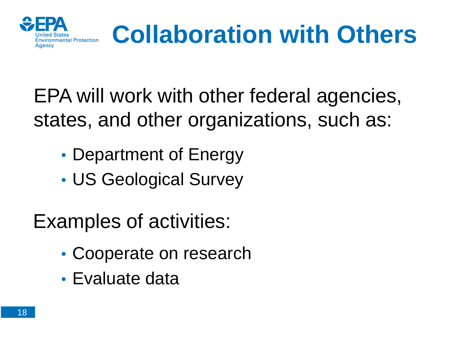

# **Collaboration with Others**

EPA will work with other federal agencies, states, and other organizations, such as:

- Department of Energy
- US Geological Survey

Examples of activities:

- Cooperate on research
- Evaluate data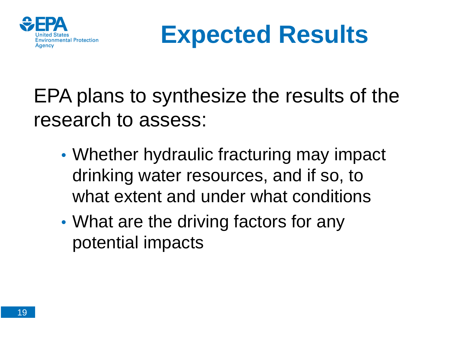



### EPA plans to synthesize the results of the research to assess:

- Whether hydraulic fracturing may impact drinking water resources, and if so, to what extent and under what conditions
- What are the driving factors for any potential impacts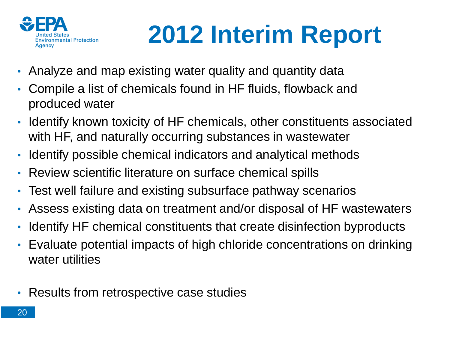

# **2012 Interim Report**

- Analyze and map existing water quality and quantity data
- Compile a list of chemicals found in HF fluids, flowback and produced water
- Identify known toxicity of HF chemicals, other constituents associated with HF, and naturally occurring substances in wastewater
- Identify possible chemical indicators and analytical methods
- Review scientific literature on surface chemical spills
- Test well failure and existing subsurface pathway scenarios
- Assess existing data on treatment and/or disposal of HF wastewaters
- Identify HF chemical constituents that create disinfection byproducts
- Evaluate potential impacts of high chloride concentrations on drinking water utilities
- Results from retrospective case studies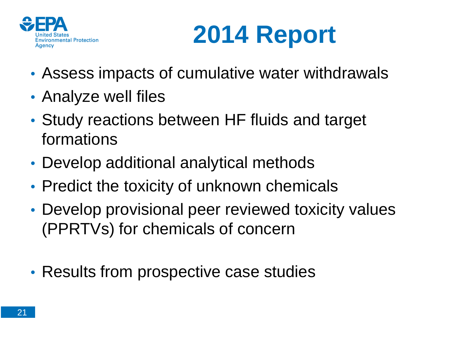



- Assess impacts of cumulative water withdrawals
- Analyze well files
- Study reactions between HF fluids and target formations
- Develop additional analytical methods
- Predict the toxicity of unknown chemicals
- Develop provisional peer reviewed toxicity values (PPRTVs) for chemicals of concern
- Results from prospective case studies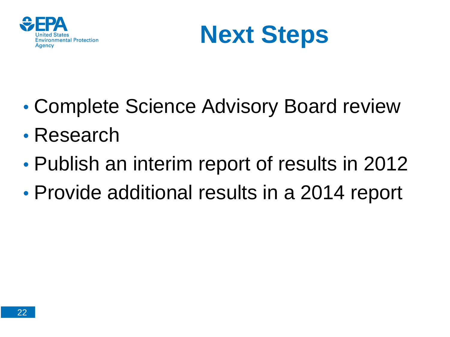



- Complete Science Advisory Board review
- Research
- Publish an interim report of results in 2012
- Provide additional results in a 2014 report